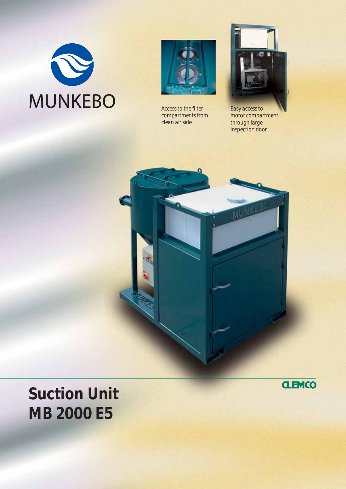



*Access to the filter compartments from clean air side*



*Easy access to motor compartment through large inspection door*



**Suction Unit MB 2000 E5**